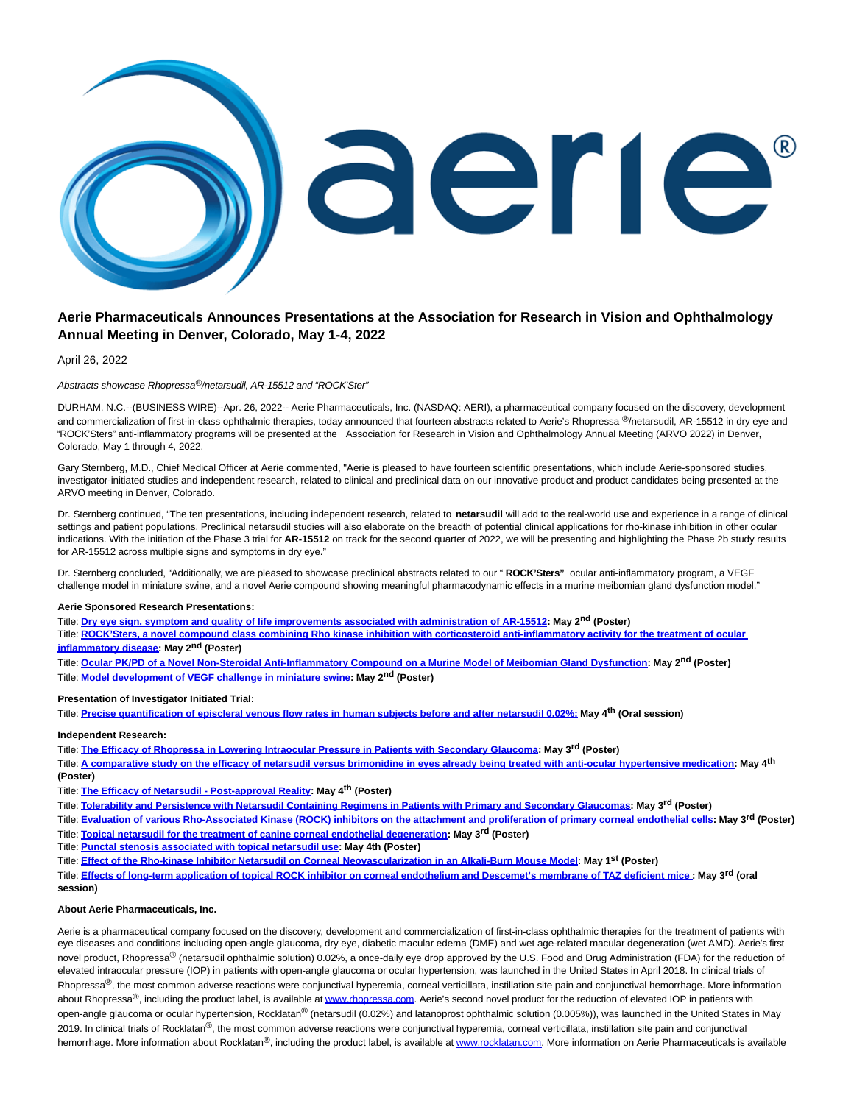

# **Aerie Pharmaceuticals Announces Presentations at the Association for Research in Vision and Ophthalmology Annual Meeting in Denver, Colorado, May 1-4, 2022**

April 26, 2022

### Abstracts showcase Rhopressa®/netarsudil, AR-15512 and "ROCK'Ster"

DURHAM, N.C.--(BUSINESS WIRE)--Apr. 26, 2022-- Aerie Pharmaceuticals, Inc. (NASDAQ: AERI), a pharmaceutical company focused on the discovery, development and commercialization of first-in-class ophthalmic therapies, today announced that fourteen abstracts related to Aerie's Rhopressa ®/netarsudil, AR-15512 in dry eye and "ROCK'Sters" anti-inflammatory programs will be presented at the Association for Research in Vision and Ophthalmology Annual Meeting (ARVO 2022) in Denver, Colorado, May 1 through 4, 2022.

Gary Sternberg, M.D., Chief Medical Officer at Aerie commented, "Aerie is pleased to have fourteen scientific presentations, which include Aerie-sponsored studies, investigator-initiated studies and independent research, related to clinical and preclinical data on our innovative product and product candidates being presented at the ARVO meeting in Denver, Colorado.

Dr. Sternberg continued, "The ten presentations, including independent research, related to **netarsudil** will add to the real-world use and experience in a range of clinical settings and patient populations. Preclinical netarsudil studies will also elaborate on the breadth of potential clinical applications for rho-kinase inhibition in other ocular indications. With the initiation of the Phase 3 trial for **AR-15512** on track for the second quarter of 2022, we will be presenting and highlighting the Phase 2b study results for AR-15512 across multiple signs and symptoms in dry eye."

Dr. Sternberg concluded, "Additionally, we are pleased to showcase preclinical abstracts related to our " **ROCK'Sters"** ocular anti-inflammatory program, a VEGF challenge model in miniature swine, and a novel Aerie compound showing meaningful pharmacodynamic effects in a murine meibomian gland dysfunction model."

# **Aerie Sponsored Research Presentations:**

Title: **[Dry eye sign, symptom and quality of life improvements associated with administration of AR-15512:](https://cts.businesswire.com/ct/CT?id=smartlink&url=https%3A%2F%2Farvo2022.arvo.org%2Fmeetings%2FbYuPFcecHjiwB4P9q&esheet=52698115&newsitemid=20220426006059&lan=en-US&anchor=Dry+eye+sign%2C+symptom+and+quality+of+life+improvements+associated+with+administration+of+AR-15512&index=1&md5=1bdd404fb4c0fdfeb823f8599f24c1fd) May 2nd (Poster)**

Title: **[ROCK'Sters, a novel compound class combining Rho kinase inhibition with corticosteroid anti-inflammatory activity for the treatment of ocular](https://cts.businesswire.com/ct/CT?id=smartlink&url=https%3A%2F%2Farvo2022.arvo.org%2Fmeetings%2FyqEM2tpTcnLg4aNoC&esheet=52698115&newsitemid=20220426006059&lan=en-US&anchor=ROCK%26%238217%3BSters%2C+a+novel+compound+class+combining+Rho+kinase+inhibition+with+corticosteroid+anti-inflammatory+activity+for+the+treatment+of+ocular+inflammatory+disease&index=2&md5=19b14601b78a0035c96a013e8aec6800) inflammatory disease: May 2nd (Poster)**

Title: **[Ocular PK/PD of a Novel Non-Steroidal Anti-Inflammatory Compound on a Murine Model of Meibomian Gland Dysfunction:](https://cts.businesswire.com/ct/CT?id=smartlink&url=https%3A%2F%2Farvo2022.arvo.org%2Fmeetings%2Fdter8PrALa2SR4TcM&esheet=52698115&newsitemid=20220426006059&lan=en-US&anchor=Ocular+PK%2FPD+of+a+Novel+Non-Steroidal+Anti-Inflammatory+Compound+on+a+Murine+Model+of+Meibomian+Gland+Dysfunction&index=3&md5=5388818845e863a6d0952516ea5c487a) May 2nd (Poster)** Title: **[Model development of VEGF challenge in miniature swine:](https://cts.businesswire.com/ct/CT?id=smartlink&url=https%3A%2F%2Farvo2022.arvo.org%2Fmeetings%2Ft2oAaBwWs8tkNaEtY&esheet=52698115&newsitemid=20220426006059&lan=en-US&anchor=Model+development+of+VEGF+challenge+in+miniature+swine&index=4&md5=f7bf7160d4e04cf1a9fb5be96402f0ba) May 2nd (Poster)**

## **Presentation of Investigator Initiated Trial:**

Title: **[Precise quantification of episcleral venous flow rates in human subjects before and after netarsudil 0.02%:](https://cts.businesswire.com/ct/CT?id=smartlink&url=https%3A%2F%2Farvo2022.arvo.org%2Fmeetings%2FEZbkuLARQQ25fmAGb&esheet=52698115&newsitemid=20220426006059&lan=en-US&anchor=Precise+quantification+of+episcleral+venous+flow+rates+in+human+subjects+before+and+after+netarsudil+0.02%25%3A&index=5&md5=72de6a186b70c0949ab526891979dd44) May 4th (Oral session)**

# **Independent Research:**

Title: T**[he Efficacy of Rhopressa in Lowering Intraocular Pressure in Patients with Secondary Glaucoma:](https://cts.businesswire.com/ct/CT?id=smartlink&url=https%3A%2F%2Farvo2022.arvo.org%2Fmeetings%2FEqqgbKdXwN8ehTATr&esheet=52698115&newsitemid=20220426006059&lan=en-US&anchor=The+Efficacy+of+Rhopressa+in+Lowering+Intraocular+Pressure+in+Patients+with+Secondary+Glaucoma&index=6&md5=79abef484b19d594fb7de766ea9e0110) May 3rd (Poster)**

Title: **[A comparative study on the efficacy of netarsudil versus brimonidine in eyes already being treated with anti-ocular hypertensive medication:](https://cts.businesswire.com/ct/CT?id=smartlink&url=https%3A%2F%2Farvo2022.arvo.org%2Fmeetings%2F9n5uScdmgEkbTwR6L&esheet=52698115&newsitemid=20220426006059&lan=en-US&anchor=A+comparative+study+on+the+efficacy+of+netarsudil+versus+brimonidine+in+eyes+already+being+treated+with+anti-ocular+hypertensive+medication&index=7&md5=004fcc37971ccdf2270a6f55b6d36a33) May 4th (Poster)**

Title: **[The Efficacy of Netarsudil - Post-approval Reality:](https://cts.businesswire.com/ct/CT?id=smartlink&url=https%3A%2F%2Farvo2022.arvo.org%2Fmeetings%2FhGkbcTDWBb3y3xYAw&esheet=52698115&newsitemid=20220426006059&lan=en-US&anchor=The+Efficacy+of+Netarsudil+-+Post-approval+Reality&index=8&md5=4a16996ab32dedd49fd4c9f89d405f33) May 4th (Poster)**

Title: **[Tolerability and Persistence with Netarsudil Containing Regimens in Patients with Primary and Secondary Glaucomas:](https://cts.businesswire.com/ct/CT?id=smartlink&url=https%3A%2F%2Farvo2022.arvo.org%2Fmeetings%2F7qzJhC9Xrq67vLfNW&esheet=52698115&newsitemid=20220426006059&lan=en-US&anchor=Tolerability+and+Persistence+with+Netarsudil+Containing+Regimens+in+Patients+with+Primary+and+Secondary+Glaucomas&index=9&md5=6a99cb3ac16962c7a00737813290d561) May 3rd (Poster)**

Title: **[Evaluation of various Rho-Associated Kinase \(ROCK\) inhibitors on the attachment and proliferation of primary corneal endothelial cells:](https://cts.businesswire.com/ct/CT?id=smartlink&url=https%3A%2F%2Farvo2022.arvo.org%2Fmeetings%2FDC934AowF5H7kF8JD&esheet=52698115&newsitemid=20220426006059&lan=en-US&anchor=Evaluation+of+various+Rho-Associated+Kinase+%28ROCK%29+inhibitors+on+the+attachment+and+proliferation+of+primary+corneal+endothelial+cells&index=10&md5=dc9be85a0a26af5eb560b24a3c7c4043) May 3rd (Poster)**

Title: **[Topical netarsudil for the treatment of canine corneal endothelial degeneration:](https://cts.businesswire.com/ct/CT?id=smartlink&url=https%3A%2F%2Farvo2022.arvo.org%2Fmeetings%2F2RSZe5MSDeXx5cgwi&esheet=52698115&newsitemid=20220426006059&lan=en-US&anchor=Topical+netarsudil+for+the+treatment+of+canine+corneal+endothelial+degeneration&index=11&md5=c074612cb92bfb252f5968ebad628f93) May 3rd (Poster)**

Title: **[Punctal stenosis associated with topical netarsudil use:](https://cts.businesswire.com/ct/CT?id=smartlink&url=https%3A%2F%2Farvo2022.arvo.org%2Fmeetings%2FovWdAKBzLSBssbBGt&esheet=52698115&newsitemid=20220426006059&lan=en-US&anchor=Punctal+stenosis+associated+with+topical+netarsudil+use&index=12&md5=450ae9b49d0b2e042c3bca8832a5329b) May 4th (Poster)**

Title: **[Effect of the Rho-kinase Inhibitor Netarsudil on Corneal Neovascularization in an Alkali-Burn Mouse Model:](https://cts.businesswire.com/ct/CT?id=smartlink&url=https%3A%2F%2Farvo2022.arvo.org%2Fmeetings%2FnBXCi7YvFvhZNNkEp&esheet=52698115&newsitemid=20220426006059&lan=en-US&anchor=Effect+of+the+Rho-kinase+Inhibitor+Netarsudil+on+Corneal+Neovascularization+in+an+Alkali-Burn+Mouse+Model&index=13&md5=a1dd08dab8329ab23071c6f898b1c238) May 1st (Poster)**

Title: **[Effects of long-term application of topical ROCK inhibitor on corneal endothelium and Descemet's membrane of TAZ deficient mice](https://cts.businesswire.com/ct/CT?id=smartlink&url=https%3A%2F%2Farvo2022.arvo.org%2Fmeetings%2FjPf28hAyjvit8m5KR&esheet=52698115&newsitemid=20220426006059&lan=en-US&anchor=Effects+of+long-term+application+of+topical+ROCK+inhibitor+on+corneal+endothelium+and+Descemet%26%238217%3Bs+membrane+of+TAZ+deficient+mice&index=14&md5=39136b1792f9a5d3c0070be8a830f7bf) : May 3rd (oral session)**

## **About Aerie Pharmaceuticals, Inc.**

Aerie is a pharmaceutical company focused on the discovery, development and commercialization of first-in-class ophthalmic therapies for the treatment of patients with eye diseases and conditions including open-angle glaucoma, dry eye, diabetic macular edema (DME) and wet age-related macular degeneration (wet AMD). Aerie's first novel product, Rhopressa<sup>®</sup> (netarsudil ophthalmic solution) 0.02%, a once-daily eye drop approved by the U.S. Food and Drug Administration (FDA) for the reduction of elevated intraocular pressure (IOP) in patients with open-angle glaucoma or ocular hypertension, was launched in the United States in April 2018. In clinical trials of Rhopressa<sup>®</sup>, the most common adverse reactions were conjunctival hyperemia, corneal verticillata, instillation site pain and conjunctival hemorrhage. More information about Rhopressa<sup>®</sup>, including the product label, is available at [www.rhopressa.com.](https://cts.businesswire.com/ct/CT?id=smartlink&url=http%3A%2F%2Fwww.rhopressa.com&esheet=52698115&newsitemid=20220426006059&lan=en-US&anchor=www.rhopressa.com&index=15&md5=4bbb2d5d157e38bc322cc87cef9229c2) Aerie's second novel product for the reduction of elevated IOP in patients with open-angle glaucoma or ocular hypertension, Rocklatan® (netarsudil (0.02%) and latanoprost ophthalmic solution (0.005%)), was launched in the United States in May 2019. In clinical trials of Rocklatan®, the most common adverse reactions were conjunctival hyperemia, corneal verticillata, instillation site pain and conjunctival hemorrhage. More information about Rocklatan®, including the product label, is available a[t www.rocklatan.com.](https://cts.businesswire.com/ct/CT?id=smartlink&url=http%3A%2F%2Fwww.rocklatan.com&esheet=52698115&newsitemid=20220426006059&lan=en-US&anchor=www.rocklatan.com&index=16&md5=35170faefb8a1b0c2930c063616e38ff) More information on Aerie Pharmaceuticals is available